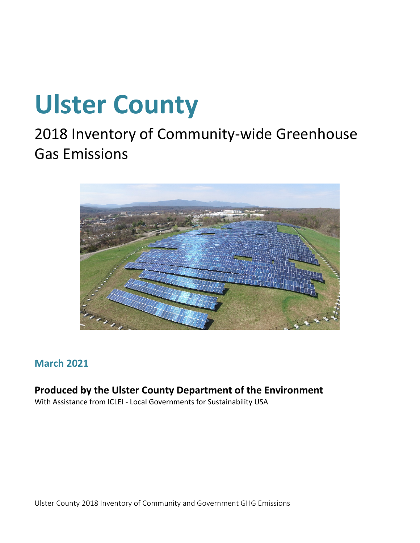### **Ulster County**

### 2018 Inventory of Community-wide Greenhouse Gas Emissions



### **March 2021**

### **Produced by the Ulster County Department of the Environment**

With Assistance from ICLEI - Local Governments for Sustainability USA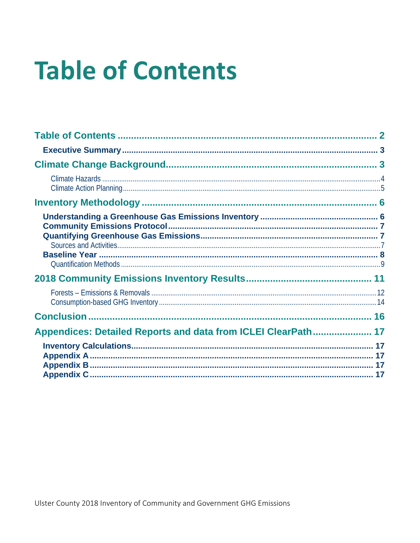## <span id="page-1-0"></span>**Table of Contents**

| Appendices: Detailed Reports and data from ICLEI ClearPath 17 |  |
|---------------------------------------------------------------|--|
|                                                               |  |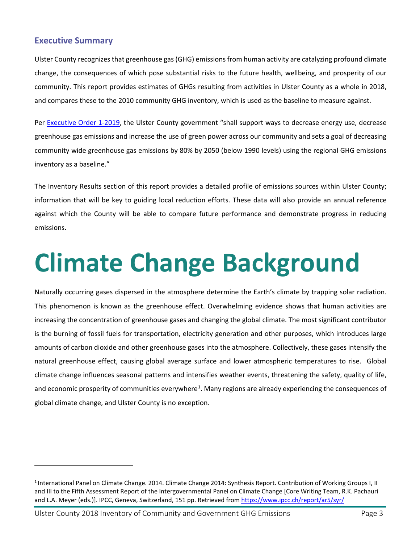#### <span id="page-2-0"></span>**Executive Summary**

Ulster County recognizes that greenhouse gas (GHG) emissions from human activity are catalyzing profound climate change, the consequences of which pose substantial risks to the future health, wellbeing, and prosperity of our community. This report provides estimates of GHGs resulting from activities in Ulster County as a whole in 2018, and compares these to the 2010 community GHG inventory, which is used as the baseline to measure against.

Per [Executive Order 1-2019,](https://ulstercountyny.gov/sites/default/files/documents/environment/UCExecOrder1-19_FinalExecuted.pdf) the Ulster County government "shall support ways to decrease energy use, decrease greenhouse gas emissions and increase the use of green power across our community and sets a goal of decreasing community wide greenhouse gas emissions by 80% by 2050 (below 1990 levels) using the regional GHG emissions inventory as a baseline."

The Inventory Results section of this report provides a detailed profile of emissions sources within Ulster County; information that will be key to guiding local reduction efforts. These data will also provide an annual reference against which the County will be able to compare future performance and demonstrate progress in reducing emissions.

### <span id="page-2-1"></span>**Climate Change Background**

Naturally occurring gases dispersed in the atmosphere determine the Earth's climate by trapping solar radiation. This phenomenon is known as the greenhouse effect. Overwhelming evidence shows that human activities are increasing the concentration of greenhouse gases and changing the global climate. The most significant contributor is the burning of fossil fuels for transportation, electricity generation and other purposes, which introduces large amounts of carbon dioxide and other greenhouse gases into the atmosphere. Collectively, these gases intensify the natural greenhouse effect, causing global average surface and lower atmospheric temperatures to rise. Global climate change influences seasonal patterns and intensifies weather events, threatening the safety, quality of life, and economic prosperity of communities everywhere<sup>[1](#page-2-2)</sup>. Many regions are already experiencing the consequences of global climate change, and Ulster County is no exception.

<span id="page-2-2"></span><sup>&</sup>lt;sup>1</sup> International Panel on Climate Change. 2014. Climate Change 2014: Synthesis Report. Contribution of Working Groups I, II and III to the Fifth Assessment Report of the Intergovernmental Panel on Climate Change [Core Writing Team, R.K. Pachauri and L.A. Meyer (eds.)]. IPCC, Geneva, Switzerland, 151 pp. Retrieved from<https://www.ipcc.ch/report/ar5/syr/>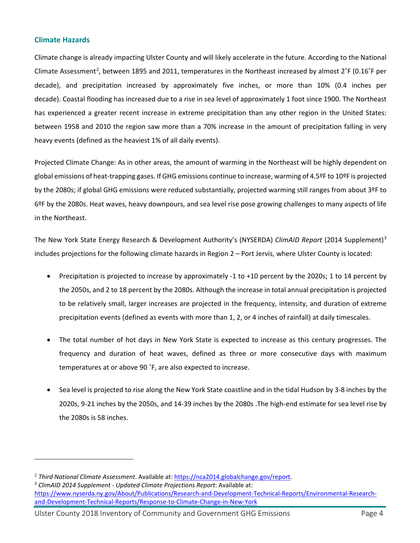#### <span id="page-3-0"></span>**Climate Hazards**

Climate change is already impacting Ulster County and will likely accelerate in the future. According to the National Climate Assessment<sup>[2](#page-3-1)</sup>, between 1895 and 2011, temperatures in the Northeast increased by almost  $2^{\circ}$ F (0.16 $^{\circ}$ F per decade), and precipitation increased by approximately five inches, or more than 10% (0.4 inches per decade). Coastal flooding has increased due to a rise in sea level of approximately 1 foot since 1900. The Northeast has experienced a greater recent increase in extreme precipitation than any other region in the United States: between 1958 and 2010 the region saw more than a 70% increase in the amount of precipitation falling in very heavy events (defined as the heaviest 1% of all daily events).

Projected Climate Change: As in other areas, the amount of warming in the Northeast will be highly dependent on global emissions of heat-trapping gases. If GHG emissions continue to increase, warming of 4.5ºF to 10ºF is projected by the 2080s; if global GHG emissions were reduced substantially, projected warming still ranges from about 3ºF to 6ºF by the 2080s. Heat waves, heavy downpours, and sea level rise pose growing challenges to many aspects of life in the Northeast.

The New York State Energy Research & Development Authority's (NYSERDA) *ClimAID Report* (2014 Supplement)[3](#page-3-2) includes projections for the following climate hazards in Region 2 – Port Jervis, where Ulster County is located:

- Precipitation is projected to increase by approximately -1 to +10 percent by the 2020s; 1 to 14 percent by the 2050s, and 2 to 18 percent by the 2080s. Although the increase in total annual precipitation is projected to be relatively small, larger increases are projected in the frequency, intensity, and duration of extreme precipitation events (defined as events with more than 1, 2, or 4 inches of rainfall) at daily timescales.
- The total number of hot days in New York State is expected to increase as this century progresses. The frequency and duration of heat waves, defined as three or more consecutive days with maximum temperatures at or above 90 ˚F, are also expected to increase.
- Sea level is projected to rise along the New York State coastline and in the tidal Hudson by 3-8 inches by the 2020s, 9-21 inches by the 2050s, and 14-39 inches by the 2080s .The high-end estimate for sea level rise by the 2080s is 58 inches.

<span id="page-3-2"></span><sup>3</sup> *ClimAID 2014 Supplement - Updated Climate Projections Report*: Available at: [https://www.nyserda.ny.gov/About/Publications/Research-and-Development-Technical-Reports/Environmental-Research](https://www.nyserda.ny.gov/About/Publications/Research-and-Development-Technical-Reports/Environmental-Research-and-Development-Technical-Reports/Response-to-Climate-Change-in-New-York)[and-Development-Technical-Reports/Response-to-Climate-Change-in-New-York](https://www.nyserda.ny.gov/About/Publications/Research-and-Development-Technical-Reports/Environmental-Research-and-Development-Technical-Reports/Response-to-Climate-Change-in-New-York)

<span id="page-3-1"></span><sup>2</sup> *Third National Climate Assessment*. Available at: [https://nca2014.globalchange.gov/report.](https://nca2014.globalchange.gov/report)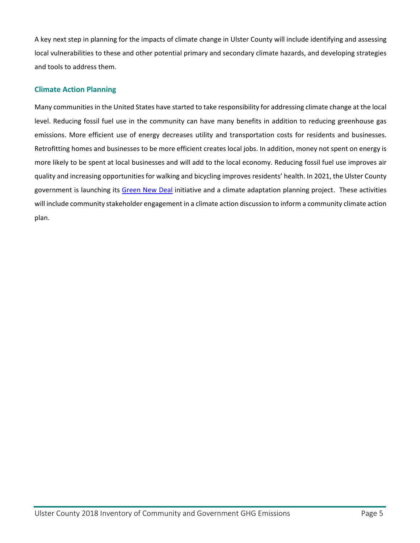A key next step in planning for the impacts of climate change in Ulster County will include identifying and assessing local vulnerabilities to these and other potential primary and secondary climate hazards, and developing strategies and tools to address them.

#### <span id="page-4-0"></span>**Climate Action Planning**

Many communities in the United States have started to take responsibility for addressing climate change at the local level. Reducing fossil fuel use in the community can have many benefits in addition to reducing greenhouse gas emissions. More efficient use of energy decreases utility and transportation costs for residents and businesses. Retrofitting homes and businesses to be more efficient creates local jobs. In addition, money not spent on energy is more likely to be spent at local businesses and will add to the local economy. Reducing fossil fuel use improves air quality and increasing opportunities for walking and bicycling improves residents' health. In 2021, the Ulster County government is launching its [Green New Deal](https://gnd.ulstercountyny.gov/) initiative and a climate adaptation planning project. These activities will include community stakeholder engagement in a climate action discussion to inform a community climate action plan.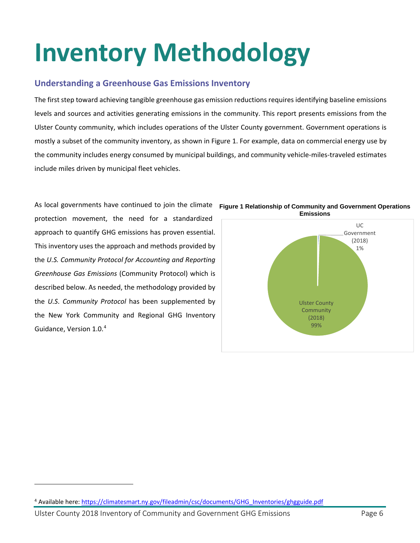## <span id="page-5-0"></span>**Inventory Methodology**

#### <span id="page-5-1"></span>**Understanding a Greenhouse Gas Emissions Inventory**

The first step toward achieving tangible greenhouse gas emission reductions requires identifying baseline emissions levels and sources and activities generating emissions in the community. This report presents emissions from the Ulster County community, which includes operations of the Ulster County government. Government operations is mostly a subset of the community inventory, as shown in Figure 1. For example, data on commercial energy use by the community includes energy consumed by municipal buildings, and community vehicle-miles-traveled estimates include miles driven by municipal fleet vehicles.

As local governments have continued to join the climate **Figure 1 Relationship of Community and Government Operations** protection movement, the need for a standardized approach to quantify GHG emissions has proven essential. This inventory uses the approach and methods provided by the *U.S. Community Protocol for Accounting and Reporting Greenhouse Gas Emissions* (Community Protocol) which is described below. As needed, the methodology provided by the *U.S*. *Community Protocol* has been supplemented by the New York Community and Regional GHG Inventory Guidance, Version 1.0.[4](#page-5-2)



<span id="page-5-2"></span><sup>4</sup> Available here: [https://climatesmart.ny.gov/fileadmin/csc/documents/GHG\\_Inventories/ghgguide.pdf](https://climatesmart.ny.gov/fileadmin/csc/documents/GHG_Inventories/ghgguide.pdf)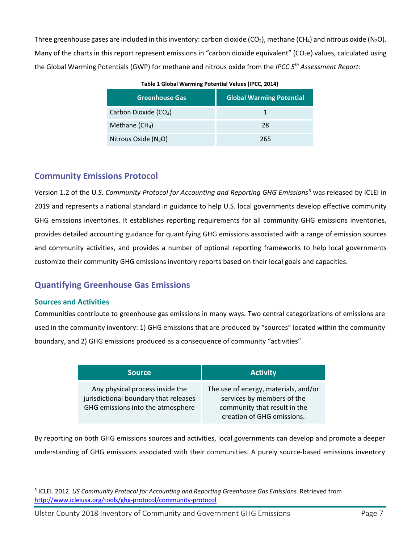Three greenhouse gases are included in this inventory: carbon dioxide (CO<sub>2</sub>), methane (CH<sub>4</sub>) and nitrous oxide (N<sub>2</sub>O). Many of the charts in this report represent emissions in "carbon dioxide equivalent" (CO<sub>2</sub>e) values, calculated using the Global Warming Potentials (GWP) for methane and nitrous oxide from the *IPCC 5th Assessment Report*:

| <b>Greenhouse Gas</b>             | <b>Global Warming Potential</b> |
|-----------------------------------|---------------------------------|
| Carbon Dioxide (CO <sub>2</sub> ) |                                 |
| Methane $(CH_4)$                  | 28                              |
| Nitrous Oxide $(N_2O)$            | 265                             |

#### <span id="page-6-0"></span>**Community Emissions Protocol**

Version 1.2 of the U*.S. Community Protocol for Accounting and Reporting GHG Emissions*[5](#page-6-3) was released by ICLEI in 2019 and represents a national standard in guidance to help U.S. local governments develop effective community GHG emissions inventories. It establishes reporting requirements for all community GHG emissions inventories, provides detailed accounting guidance for quantifying GHG emissions associated with a range of emission sources and community activities, and provides a number of optional reporting frameworks to help local governments customize their community GHG emissions inventory reports based on their local goals and capacities.

#### <span id="page-6-1"></span>**Quantifying Greenhouse Gas Emissions**

#### <span id="page-6-2"></span>**Sources and Activities**

Communities contribute to greenhouse gas emissions in many ways. Two central categorizations of emissions are used in the community inventory: 1) GHG emissions that are produced by "sources" located within the community boundary, and 2) GHG emissions produced as a consequence of community "activities".

| <b>Source</b>                                                                                                 | <b>Activity</b>                                                                                                                  |
|---------------------------------------------------------------------------------------------------------------|----------------------------------------------------------------------------------------------------------------------------------|
| Any physical process inside the<br>jurisdictional boundary that releases<br>GHG emissions into the atmosphere | The use of energy, materials, and/or<br>services by members of the<br>community that result in the<br>creation of GHG emissions. |

By reporting on both GHG emissions sources and activities, local governments can develop and promote a deeper understanding of GHG emissions associated with their communities. A purely source-based emissions inventory

<span id="page-6-3"></span><sup>5</sup> ICLEI. 2012. *US Community Protocol for Accounting and Reporting Greenhouse Gas Emissions*. Retrieved from <http://www.icleiusa.org/tools/ghg-protocol/community-protocol>

Ulster County 2018 Inventory of Community and Government GHG Emissions Page 7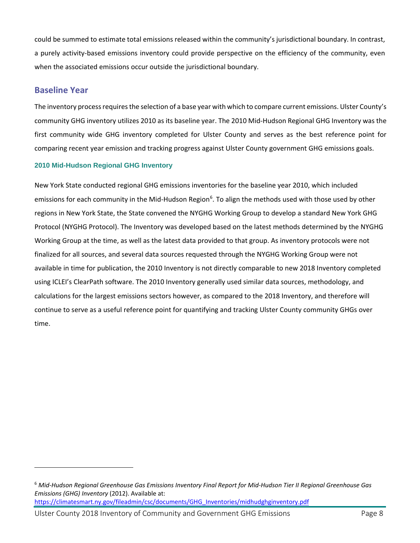could be summed to estimate total emissions released within the community's jurisdictional boundary. In contrast, a purely activity-based emissions inventory could provide perspective on the efficiency of the community, even when the associated emissions occur outside the jurisdictional boundary.

#### <span id="page-7-0"></span>**Baseline Year**

The inventory process requires the selection of a base year with which to compare current emissions. Ulster County's community GHG inventory utilizes 2010 as its baseline year. The 2010 Mid-Hudson Regional GHG Inventory was the first community wide GHG inventory completed for Ulster County and serves as the best reference point for comparing recent year emission and tracking progress against Ulster County government GHG emissions goals.

#### **2010 Mid-Hudson Regional GHG Inventory**

New York State conducted regional GHG emissions inventories for the baseline year 2010, which included emissions for each community in the Mid-Hudson Region<sup>[6](#page-7-1)</sup>. To align the methods used with those used by other regions in New York State, the State convened the NYGHG Working Group to develop a standard New York GHG Protocol (NYGHG Protocol). The Inventory was developed based on the latest methods determined by the NYGHG Working Group at the time, as well as the latest data provided to that group. As inventory protocols were not finalized for all sources, and several data sources requested through the NYGHG Working Group were not available in time for publication, the 2010 Inventory is not directly comparable to new 2018 Inventory completed using ICLEI's ClearPath software. The 2010 Inventory generally used similar data sources, methodology, and calculations for the largest emissions sectors however, as compared to the 2018 Inventory, and therefore will continue to serve as a useful reference point for quantifying and tracking Ulster County community GHGs over time.

<span id="page-7-1"></span><sup>6</sup> *Mid-Hudson Regional Greenhouse Gas Emissions Inventory Final Report for Mid-Hudson Tier II Regional Greenhouse Gas Emissions (GHG) Inventory* (2012). Available at: [https://climatesmart.ny.gov/fileadmin/csc/documents/GHG\\_Inventories/midhudghginventory.pdf](https://climatesmart.ny.gov/fileadmin/csc/documents/GHG_Inventories/midhudghginventory.pdf)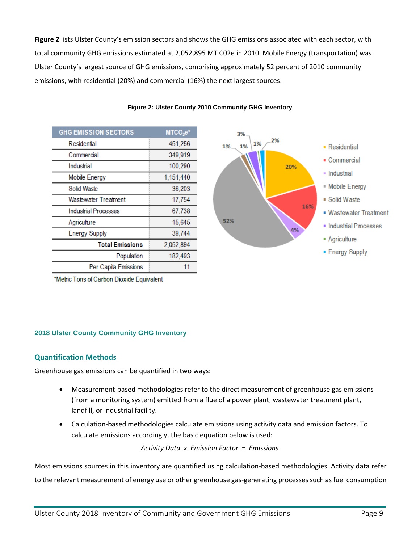**Figure 2** lists Ulster County's emission sectors and shows the GHG emissions associated with each sector, with total community GHG emissions estimated at 2,052,895 MT C02e in 2010. Mobile Energy (transportation) was Ulster County's largest source of GHG emissions, comprising approximately 52 percent of 2010 community emissions, with residential (20%) and commercial (16%) the next largest sources.

| <b>GHG EMISSION SECTORS</b> | $MTCO2e*$ |
|-----------------------------|-----------|
| Residential                 | 451,256   |
| Commercial                  | 349,919   |
| Industrial                  | 100,290   |
| <b>Mobile Energy</b>        | 1,151,440 |
| Solid Waste                 | 36,203    |
| <b>Wastewater Treatment</b> | 17,754    |
| <b>Industrial Processes</b> | 67,738    |
| Agriculture                 | 15,645    |
| <b>Energy Supply</b>        | 39,744    |
| <b>Total Emissions</b>      | 2,052,894 |
| Population                  | 182,493   |
| Per Capita Emissions        | 11        |

#### **Figure 2: Ulster County 2010 Community GHG Inventory**



\*Metric Tons of Carbon Dioxide Equivalent

#### **2018 Ulster County Community GHG Inventory**

#### <span id="page-8-0"></span>**Quantification Methods**

Greenhouse gas emissions can be quantified in two ways:

- Measurement-based methodologies refer to the direct measurement of greenhouse gas emissions (from a monitoring system) emitted from a flue of a power plant, wastewater treatment plant, landfill, or industrial facility.
- Calculation-based methodologies calculate emissions using activity data and emission factors. To calculate emissions accordingly, the basic equation below is used:

*Activity Data x Emission Factor = Emissions*

Most emissions sources in this inventory are quantified using calculation-based methodologies. Activity data refer to the relevant measurement of energy use or other greenhouse gas-generating processes such as fuel consumption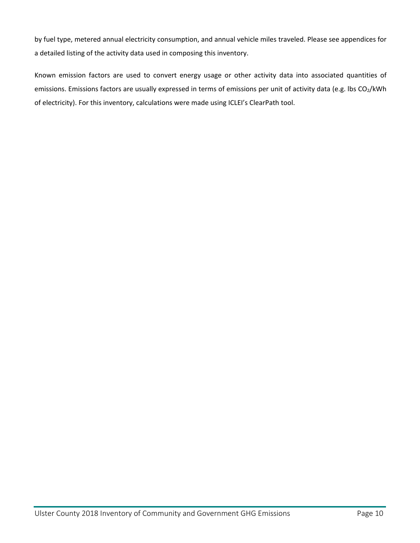by fuel type, metered annual electricity consumption, and annual vehicle miles traveled. Please see appendices for a detailed listing of the activity data used in composing this inventory.

Known emission factors are used to convert energy usage or other activity data into associated quantities of emissions. Emissions factors are usually expressed in terms of emissions per unit of activity data (e.g. lbs CO2/kWh of electricity). For this inventory, calculations were made using ICLEI's ClearPath tool.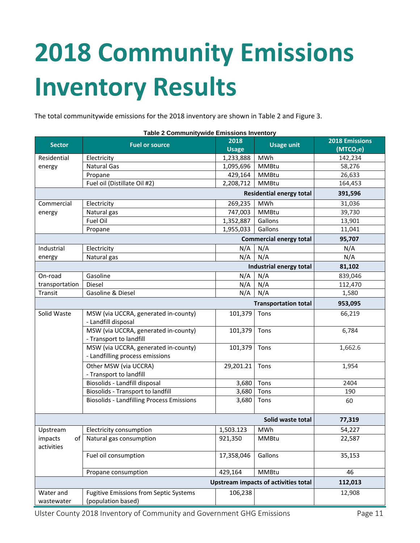# <span id="page-10-0"></span>**2018 Community Emissions Inventory Results**

The total communitywide emissions for the 2018 inventory are shown in Table 2 and Figure 3.

| Table 2 Communitywide Emissions Inventory   |                                                  |              |                                 |                       |  |
|---------------------------------------------|--------------------------------------------------|--------------|---------------------------------|-----------------------|--|
| <b>Sector</b>                               | <b>Fuel or source</b>                            | 2018         | <b>Usage unit</b>               | <b>2018 Emissions</b> |  |
|                                             |                                                  | <b>Usage</b> |                                 | (MTCO <sub>2</sub> e) |  |
| Residential                                 | Electricity                                      | 1,233,888    | MWh                             | 142,234               |  |
| energy                                      | <b>Natural Gas</b>                               | 1,095,696    | <b>MMBtu</b>                    | 58,276                |  |
|                                             | Propane                                          | 429,164      | <b>MMBtu</b>                    | 26,633                |  |
|                                             | Fuel oil (Distillate Oil #2)                     | 2,208,712    | <b>MMBtu</b>                    | 164,453               |  |
|                                             |                                                  |              | <b>Residential energy total</b> | 391,596               |  |
| Commercial                                  | Electricity                                      | 269,235      | MWh                             | 31,036                |  |
| energy                                      | Natural gas                                      | 747,003      | <b>MMBtu</b>                    | 39,730                |  |
|                                             | Fuel Oil                                         | 1,352,887    | Gallons                         | 13,901                |  |
|                                             | Propane                                          | 1,955,033    | Gallons                         | 11,041                |  |
|                                             |                                                  |              | <b>Commercial energy total</b>  | 95,707                |  |
| Industrial                                  | Electricity                                      | N/A          | N/A                             | N/A                   |  |
| energy                                      | Natural gas                                      | N/A          | N/A                             | N/A                   |  |
|                                             |                                                  |              | Industrial energy total         | 81,102                |  |
| On-road                                     | Gasoline                                         | N/A          | N/A                             | 839,046               |  |
| transportation                              | <b>Diesel</b>                                    | N/A          | N/A                             | 112,470               |  |
| Transit                                     | Gasoline & Diesel                                | N/A          | N/A                             | 1,580                 |  |
| <b>Transportation total</b>                 |                                                  |              |                                 | 953,095               |  |
| Solid Waste                                 | MSW (via UCCRA, generated in-county)             | 101,379      | Tons                            | 66,219                |  |
|                                             | - Landfill disposal                              |              |                                 |                       |  |
|                                             | MSW (via UCCRA, generated in-county)             | 101,379      | Tons                            | 6,784                 |  |
|                                             | - Transport to landfill                          |              |                                 |                       |  |
|                                             | MSW (via UCCRA, generated in-county)             | 101,379      | Tons                            | 1,662.6               |  |
|                                             | - Landfilling process emissions                  |              |                                 |                       |  |
|                                             | Other MSW (via UCCRA)                            | 29,201.21    | Tons                            | 1,954                 |  |
|                                             | - Transport to landfill                          |              |                                 |                       |  |
|                                             | Biosolids - Landfill disposal                    | 3,680        | Tons                            | 2404                  |  |
|                                             | Biosolids - Transport to landfill                | 3,680        | Tons                            | 190                   |  |
|                                             | <b>Biosolids - Landfilling Process Emissions</b> | 3,680        | Tons                            | 60                    |  |
|                                             |                                                  |              |                                 |                       |  |
|                                             |                                                  |              | Solid waste total               | 77,319                |  |
| Upstream                                    | Electricity consumption                          | 1,503.123    | <b>MWh</b>                      | 54,227                |  |
| of<br>impacts                               | Natural gas consumption                          | 921,350      | <b>MMBtu</b>                    | 22,587                |  |
| activities                                  |                                                  |              |                                 |                       |  |
|                                             | Fuel oil consumption                             | 17,358,046   | Gallons                         | 35,153                |  |
|                                             |                                                  |              |                                 |                       |  |
|                                             | Propane consumption                              | 429,164      | <b>MMBtu</b>                    | 46                    |  |
| <b>Upstream impacts of activities total</b> |                                                  | 112,013      |                                 |                       |  |
| Water and                                   | <b>Fugitive Emissions from Septic Systems</b>    | 106,238      |                                 | 12,908                |  |
| wastewater                                  | (population based)                               |              |                                 |                       |  |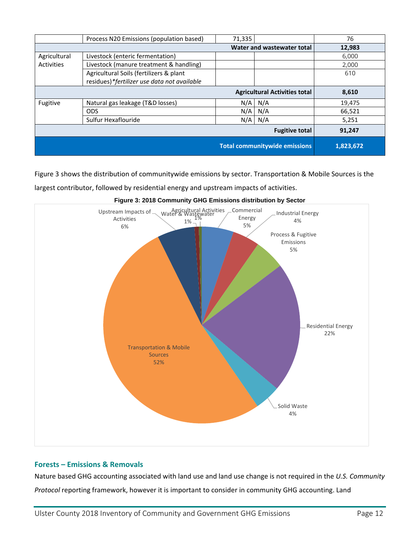|                                      |                                             |        | <b>Total communitywide emissions</b> | 1,823,672 |
|--------------------------------------|---------------------------------------------|--------|--------------------------------------|-----------|
|                                      |                                             |        | <b>Fugitive total</b>                | 91,247    |
|                                      | Sulfur Hexaflouride                         | N/A    | N/A                                  | 5,251     |
|                                      | <b>ODS</b>                                  | N/A    | N/A                                  | 66,521    |
| Fugitive                             | Natural gas leakage (T&D losses)            | N/A    | N/A                                  | 19,475    |
| <b>Agricultural Activities total</b> |                                             |        | 8,610                                |           |
|                                      | residues)*fertilizer use data not available |        |                                      |           |
|                                      | Agricultural Soils (fertilizers & plant     |        |                                      | 610       |
| Activities                           | Livestock (manure treatment & handling)     |        |                                      | 2,000     |
| Agricultural                         | Livestock (enteric fermentation)            |        |                                      | 6.000     |
| Water and wastewater total           |                                             |        | 12,983                               |           |
|                                      | Process N20 Emissions (population based)    | 71,335 |                                      | 76        |

Figure 3 shows the distribution of communitywide emissions by sector. Transportation & Mobile Sources is the

largest contributor, followed by residential energy and upstream impacts of activities.



**Figure 3: 2018 Community GHG Emissions distribution by Sector**

#### <span id="page-11-0"></span>**Forests – Emissions & Removals**

Nature based GHG accounting associated with land use and land use change is not required in the *U.S. Community Protocol* reporting framework, however it is important to consider in community GHG accounting. Land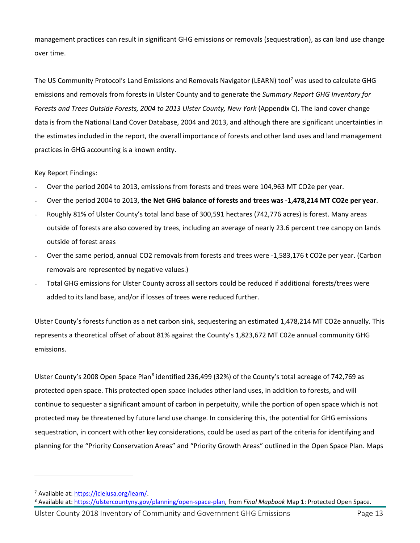management practices can result in significant GHG emissions or removals (sequestration), as can land use change over time.

The US Community Protocol's Land Emissions and Removals Navigator (LEARN) tool<sup>[7](#page-12-0)</sup> was used to calculate GHG emissions and removals from forests in Ulster County and to generate the *Summary Report GHG Inventory for Forests and Trees Outside Forests, 2004 to 2013 Ulster County, New York* (Appendix C). The land cover change data is from the National Land Cover Database, 2004 and 2013, and although there are significant uncertainties in the estimates included in the report, the overall importance of forests and other land uses and land management practices in GHG accounting is a known entity.

#### Key Report Findings:

- Over the period 2004 to 2013, emissions from forests and trees were 104,963 MT CO2e per year.
- Over the period 2004 to 2013, **the Net GHG balance of forests and trees was -1,478,214 MT CO2e per year**.
- Roughly 81% of Ulster County's total land base of 300,591 hectares (742,776 acres) is forest. Many areas outside of forests are also covered by trees, including an average of nearly 23.6 percent tree canopy on lands outside of forest areas
- Over the same period, annual CO2 removals from forests and trees were -1,583,176 t CO2e per year. (Carbon removals are represented by negative values.)
- Total GHG emissions for Ulster County across all sectors could be reduced if additional forests/trees were added to its land base, and/or if losses of trees were reduced further.

Ulster County's forests function as a net carbon sink, sequestering an estimated 1,478,214 MT CO2e annually. This represents a theoretical offset of about 81% against the County's 1,823,672 MT C02e annual community GHG emissions.

Ulster County's 200[8](#page-12-1) Open Space Plan<sup>8</sup> identified 236,499 (32%) of the County's total acreage of 742,769 as protected open space. This protected open space includes other land uses, in addition to forests, and will continue to sequester a significant amount of carbon in perpetuity, while the portion of open space which is not protected may be threatened by future land use change. In considering this, the potential for GHG emissions sequestration, in concert with other key considerations, could be used as part of the criteria for identifying and planning for the "Priority Conservation Areas" and "Priority Growth Areas" outlined in the Open Space Plan. Maps

<span id="page-12-1"></span><span id="page-12-0"></span><sup>&</sup>lt;sup>7</sup> Available at: https://icleiusa.org/learn/.<br><sup>8</sup> Available at[: https://ulstercountyny.gov/planning/open-space-plan,](https://ulstercountyny.gov/planning/open-space-plan) from *Final Mapbook* Map 1: Protected Open Space.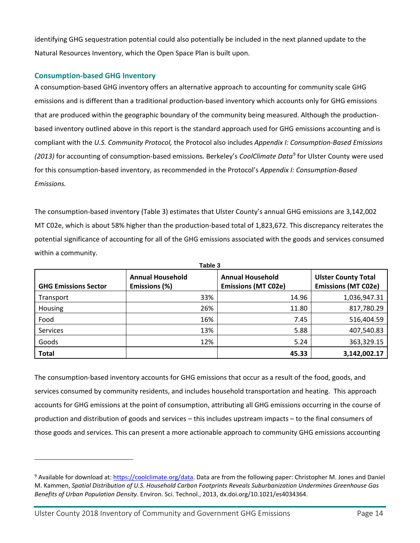identifying GHG sequestration potential could also potentially be included in the next planned update to the Natural Resources Inventory, which the Open Space Plan is built upon.

#### <span id="page-13-0"></span>**Consumption-based GHG Inventory**

A consumption-based GHG inventory offers an alternative approach to accounting for community scale GHG emissions and is different than a traditional production-based inventory which accounts only for GHG emissions that are produced within the geographic boundary of the community being measured. Although the productionbased inventory outlined above in this report is the standard approach used for GHG emissions accounting and is compliant with the *U.S. Community Protocol,* the Protocol also includes *Appendix I: Consumption-Based Emissions (2013)* for accounting of consumption-based emissions*.* Berkeley's *CoolClimate Data*[9](#page-13-1) for Ulster County were used for this consumption-based inventory, as recommended in the Protocol's *Appendix I: Consumption-Based Emissions.*

The consumption-based inventory (Table 3) estimates that Ulster County's annual GHG emissions are 3,142,002 MT C02e, which is about 58% higher than the production-based total of 1,823,672. This discrepancy reiterates the potential significance of accounting for all of the GHG emissions associated with the goods and services consumed within a community.

| Table 3                     |                                          |                                                       |                                                          |
|-----------------------------|------------------------------------------|-------------------------------------------------------|----------------------------------------------------------|
| <b>GHG Emissions Sector</b> | <b>Annual Household</b><br>Emissions (%) | <b>Annual Household</b><br><b>Emissions (MT C02e)</b> | <b>Ulster County Total</b><br><b>Emissions (MT C02e)</b> |
| Transport                   | 33%                                      | 14.96                                                 | 1,036,947.31                                             |
| Housing                     | 26%                                      | 11.80                                                 | 817,780.29                                               |
| Food                        | 16%                                      | 7.45                                                  | 516,404.59                                               |
| <b>Services</b>             | 13%                                      | 5.88                                                  | 407,540.83                                               |
| Goods                       | 12%                                      | 5.24                                                  | 363,329.15                                               |
| <b>Total</b>                |                                          | 45.33                                                 | 3,142,002.17                                             |

The consumption-based inventory accounts for GHG emissions that occur as a result of the food, goods, and services consumed by community residents, and includes household transportation and heating. This approach accounts for GHG emissions at the point of consumption, attributing all GHG emissions occurring in the course of production and distribution of goods and services – this includes upstream impacts – to the final consumers of those goods and services. This can present a more actionable approach to community GHG emissions accounting

<span id="page-13-1"></span><sup>9</sup> Available for download at: [https://coolclimate.org/data.](https://coolclimate.org/data) Data are from the following paper: Christopher M. Jones and Daniel M. Kammen, *Spatial Distribution of U.S. Household Carbon Footprints Reveals Suburbanization Undermines Greenhouse Gas Benefits of Urban Population Density*. Environ. Sci. Technol., 2013, dx.doi.org/10.1021/es4034364.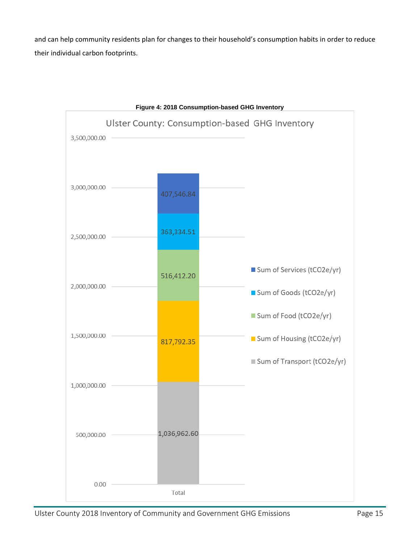and can help community residents plan for changes to their household's consumption habits in order to reduce their individual carbon footprints.

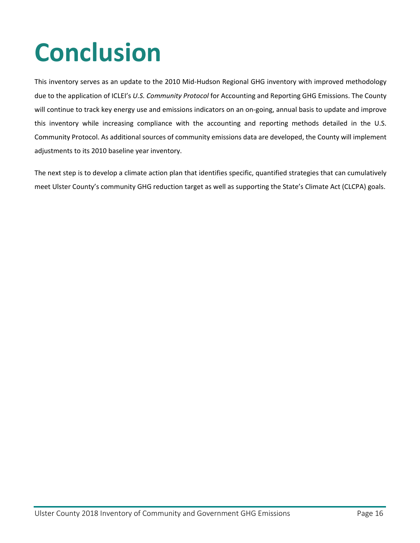### <span id="page-15-0"></span>**Conclusion**

This inventory serves as an update to the 2010 Mid-Hudson Regional GHG inventory with improved methodology due to the application of ICLEI's *U.S. Community Protocol* for Accounting and Reporting GHG Emissions. The County will continue to track key energy use and emissions indicators on an on-going, annual basis to update and improve this inventory while increasing compliance with the accounting and reporting methods detailed in the U.S. Community Protocol. As additional sources of community emissions data are developed, the County will implement adjustments to its 2010 baseline year inventory.

The next step is to develop a climate action plan that identifies specific, quantified strategies that can cumulatively meet Ulster County's community GHG reduction target as well as supporting the State's Climate Act (CLCPA) goals.